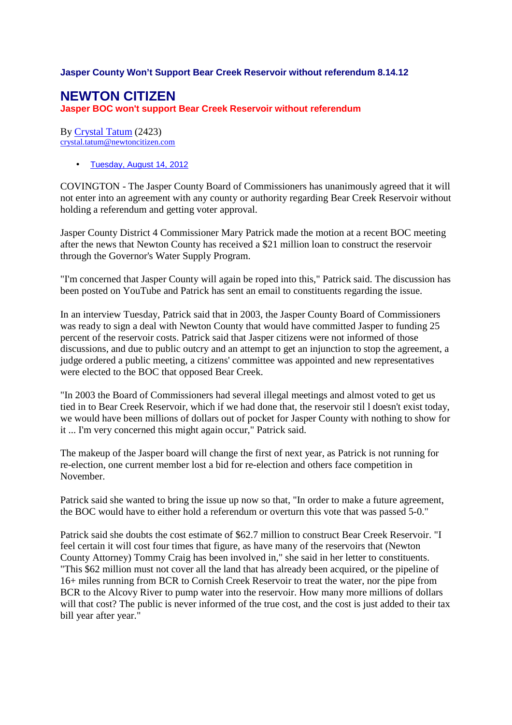## **Jasper County Won't Support Bear Creek Reservoir without referendum 8.14.12**

## **NEWTON CITIZEN**

**Jasper BOC won't support Bear Creek Reservoir without referendum**

By Crystal Tatum (2423) crystal.tatum@newtoncitizen.com

• Tuesday, August 14, 2012

COVINGTON - The Jasper County Board of Commissioners has unanimously agreed that it will not enter into an agreement with any county or authority regarding Bear Creek Reservoir without holding a referendum and getting voter approval.

Jasper County District 4 Commissioner Mary Patrick made the motion at a recent BOC meeting after the news that Newton County has received a \$21 million loan to construct the reservoir through the Governor's Water Supply Program.

"I'm concerned that Jasper County will again be roped into this," Patrick said. The discussion has been posted on YouTube and Patrick has sent an email to constituents regarding the issue.

In an interview Tuesday, Patrick said that in 2003, the Jasper County Board of Commissioners was ready to sign a deal with Newton County that would have committed Jasper to funding 25 percent of the reservoir costs. Patrick said that Jasper citizens were not informed of those discussions, and due to public outcry and an attempt to get an injunction to stop the agreement, a judge ordered a public meeting, a citizens' committee was appointed and new representatives were elected to the BOC that opposed Bear Creek.

"In 2003 the Board of Commissioners had several illegal meetings and almost voted to get us tied in to Bear Creek Reservoir, which if we had done that, the reservoir stil l doesn't exist today, we would have been millions of dollars out of pocket for Jasper County with nothing to show for it ... I'm very concerned this might again occur," Patrick said.

The makeup of the Jasper board will change the first of next year, as Patrick is not running for re-election, one current member lost a bid for re-election and others face competition in November.

Patrick said she wanted to bring the issue up now so that, "In order to make a future agreement, the BOC would have to either hold a referendum or overturn this vote that was passed 5-0."

Patrick said she doubts the cost estimate of \$62.7 million to construct Bear Creek Reservoir. "I feel certain it will cost four times that figure, as have many of the reservoirs that (Newton County Attorney) Tommy Craig has been involved in," she said in her letter to constituents. "This \$62 million must not cover all the land that has already been acquired, or the pipeline of 16+ miles running from BCR to Cornish Creek Reservoir to treat the water, nor the pipe from BCR to the Alcovy River to pump water into the reservoir. How many more millions of dollars will that cost? The public is never informed of the true cost, and the cost is just added to their tax bill year after year."